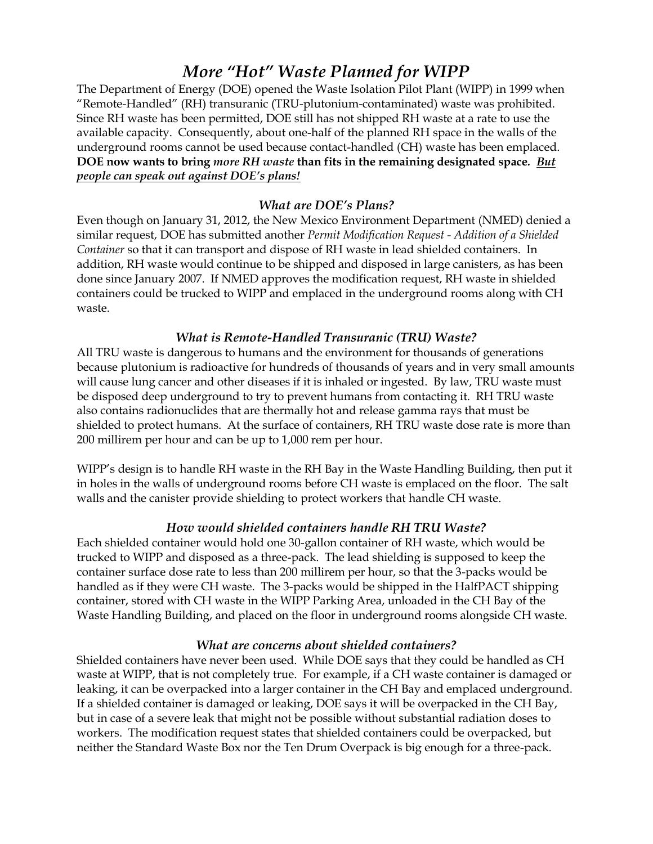# *More "Hot" Waste Planned for WIPP*

The Department of Energy (DOE) opened the Waste Isolation Pilot Plant (WIPP) in 1999 when "Remote-Handled" (RH) transuranic (TRU-plutonium-contaminated) waste was prohibited. Since RH waste has been permitted, DOE still has not shipped RH waste at a rate to use the available capacity. Consequently, about one-half of the planned RH space in the walls of the underground rooms cannot be used because contact-handled (CH) waste has been emplaced. **DOE now wants to bring** *more RH waste* **than fits in the remaining designated space***. But people can speak out against DOE's plans!*

## *What are DOE's Plans?*

Even though on January 31, 2012, the New Mexico Environment Department (NMED) denied a similar request, DOE has submitted another *Permit Modification Request - Addition of a Shielded Container* so that it can transport and dispose of RH waste in lead shielded containers. In addition, RH waste would continue to be shipped and disposed in large canisters, as has been done since January 2007. If NMED approves the modification request, RH waste in shielded containers could be trucked to WIPP and emplaced in the underground rooms along with CH waste.

### *What is Remote-Handled Transuranic (TRU) Waste?*

All TRU waste is dangerous to humans and the environment for thousands of generations because plutonium is radioactive for hundreds of thousands of years and in very small amounts will cause lung cancer and other diseases if it is inhaled or ingested. By law, TRU waste must be disposed deep underground to try to prevent humans from contacting it. RH TRU waste also contains radionuclides that are thermally hot and release gamma rays that must be shielded to protect humans. At the surface of containers, RH TRU waste dose rate is more than 200 millirem per hour and can be up to 1,000 rem per hour.

WIPP's design is to handle RH waste in the RH Bay in the Waste Handling Building, then put it in holes in the walls of underground rooms before CH waste is emplaced on the floor. The salt walls and the canister provide shielding to protect workers that handle CH waste.

#### *How would shielded containers handle RH TRU Waste?*

Each shielded container would hold one 30-gallon container of RH waste, which would be trucked to WIPP and disposed as a three-pack. The lead shielding is supposed to keep the container surface dose rate to less than 200 millirem per hour, so that the 3-packs would be handled as if they were CH waste. The 3-packs would be shipped in the HalfPACT shipping container, stored with CH waste in the WIPP Parking Area, unloaded in the CH Bay of the Waste Handling Building, and placed on the floor in underground rooms alongside CH waste.

#### *What are concerns about shielded containers?*

Shielded containers have never been used. While DOE says that they could be handled as CH waste at WIPP, that is not completely true. For example, if a CH waste container is damaged or leaking, it can be overpacked into a larger container in the CH Bay and emplaced underground. If a shielded container is damaged or leaking, DOE says it will be overpacked in the CH Bay, but in case of a severe leak that might not be possible without substantial radiation doses to workers. The modification request states that shielded containers could be overpacked, but neither the Standard Waste Box nor the Ten Drum Overpack is big enough for a three-pack.